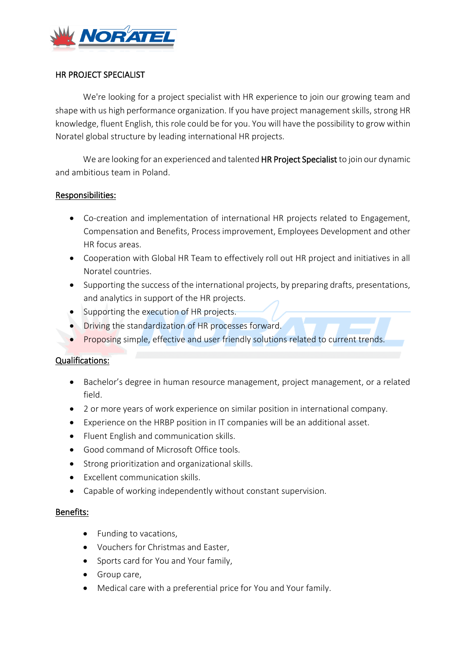

# HR PROJECT SPECIALIST

We're looking for a project specialist with HR experience to join our growing team and shape with us high performance organization. If you have project management skills, strong HR knowledge, fluent English, this role could be for you. You will have the possibility to grow within Noratel global structure by leading international HR projects.

We are looking for an experienced and talented HR Project Specialist to join our dynamic and ambitious team in Poland.

## Responsibilities:

- Co-creation and implementation of international HR projects related to Engagement, Compensation and Benefits, Process improvement, Employees Development and other HR focus areas.
- Cooperation with Global HR Team to effectively roll out HR project and initiatives in all Noratel countries.
- Supporting the success of the international projects, by preparing drafts, presentations, and analytics in support of the HR projects.
- Supporting the execution of HR projects.
- Driving the standardization of HR processes forward.
- Proposing simple, effective and user friendly solutions related to current trends.

# Qualifications:

- Bachelor's degree in human resource management, project management, or a related field.
- 2 or more years of work experience on similar position in international company.
- Experience on the HRBP position in IT companies will be an additional asset.
- Fluent English and communication skills.
- Good command of Microsoft Office tools.
- Strong prioritization and organizational skills.
- Excellent communication skills.
- Capable of working independently without constant supervision.

## Benefits:

- Funding to vacations,
- Vouchers for Christmas and Easter,
- Sports card for You and Your family,
- Group care,
- Medical care with a preferential price for You and Your family.